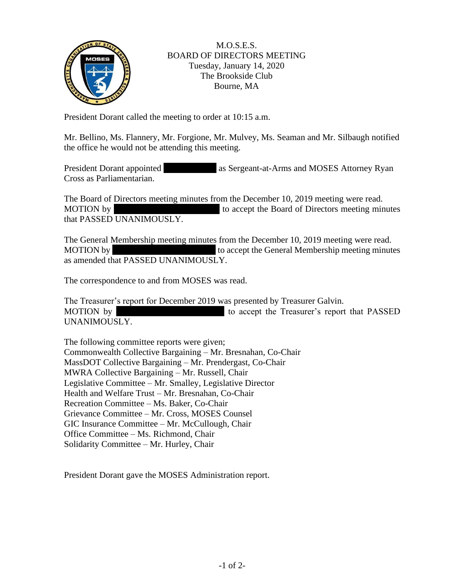

## M.O.S.E.S. BOARD OF DIRECTORS MEETING Tuesday, January 14, 2020 The Brookside Club Bourne, MA

President Dorant called the meeting to order at 10:15 a.m.

Mr. Bellino, Ms. Flannery, Mr. Forgione, Mr. Mulvey, Ms. Seaman and Mr. Silbaugh notified the office he would not be attending this meeting.

President Dorant appointed as Sergeant-at-Arms and MOSES Attorney Ryan Cross as Parliamentarian.

The Board of Directors meeting minutes from the December 10, 2019 meeting were read. MOTION by to accept the Board of Directors meeting minutes that PASSED UNANIMOUSLY.

The General Membership meeting minutes from the December 10, 2019 meeting were read. MOTION by to accept the General Membership meeting minutes as amended that PASSED UNANIMOUSLY.

The correspondence to and from MOSES was read.

The Treasurer's report for December 2019 was presented by Treasurer Galvin. MOTION by to accept the Treasurer's report that PASSED UNANIMOUSLY.

The following committee reports were given; Commonwealth Collective Bargaining – Mr. Bresnahan, Co-Chair MassDOT Collective Bargaining – Mr. Prendergast, Co-Chair MWRA Collective Bargaining – Mr. Russell, Chair Legislative Committee – Mr. Smalley, Legislative Director Health and Welfare Trust – Mr. Bresnahan, Co-Chair Recreation Committee – Ms. Baker, Co-Chair Grievance Committee – Mr. Cross, MOSES Counsel GIC Insurance Committee – Mr. McCullough, Chair Office Committee – Ms. Richmond, Chair Solidarity Committee – Mr. Hurley, Chair

President Dorant gave the MOSES Administration report.